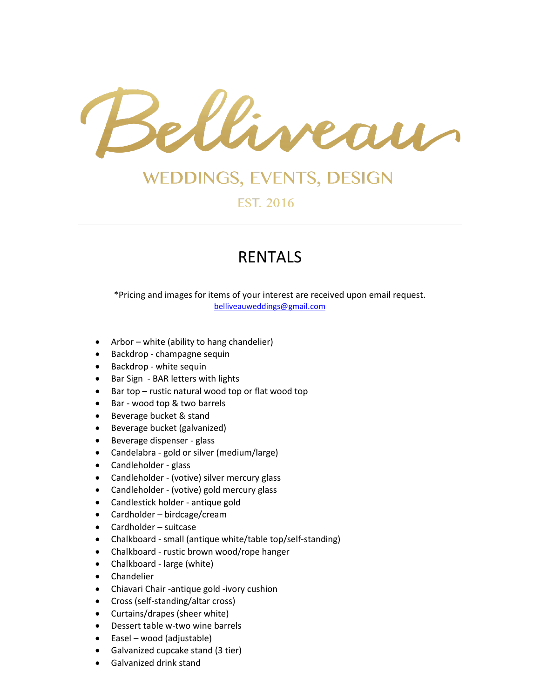

## **WEDDINGS, EVENTS, DESIGN**

**EST. 2016** 

## RENTALS

\*Pricing and images for items of your interest are received upon email request. [belliveauweddings@gmail.com](mailto:belliveauweddings@gmail.com)

- Arbor white (ability to hang chandelier)
- Backdrop champagne sequin
- Backdrop white sequin
- Bar Sign BAR letters with lights
- Bar top rustic natural wood top or flat wood top
- Bar wood top & two barrels
- Beverage bucket & stand
- Beverage bucket (galvanized)
- Beverage dispenser glass
- Candelabra gold or silver (medium/large)
- Candleholder glass
- Candleholder (votive) silver mercury glass
- Candleholder (votive) gold mercury glass
- Candlestick holder antique gold
- Cardholder birdcage/cream
- Cardholder suitcase
- Chalkboard small (antique white/table top/self-standing)
- Chalkboard rustic brown wood/rope hanger
- Chalkboard large (white)
- **•** Chandelier
- Chiavari Chair -antique gold -ivory cushion
- Cross (self-standing/altar cross)
- Curtains/drapes (sheer white)
- Dessert table w-two wine barrels
- Easel wood (adjustable)
- Galvanized cupcake stand (3 tier)
- Galvanized drink stand